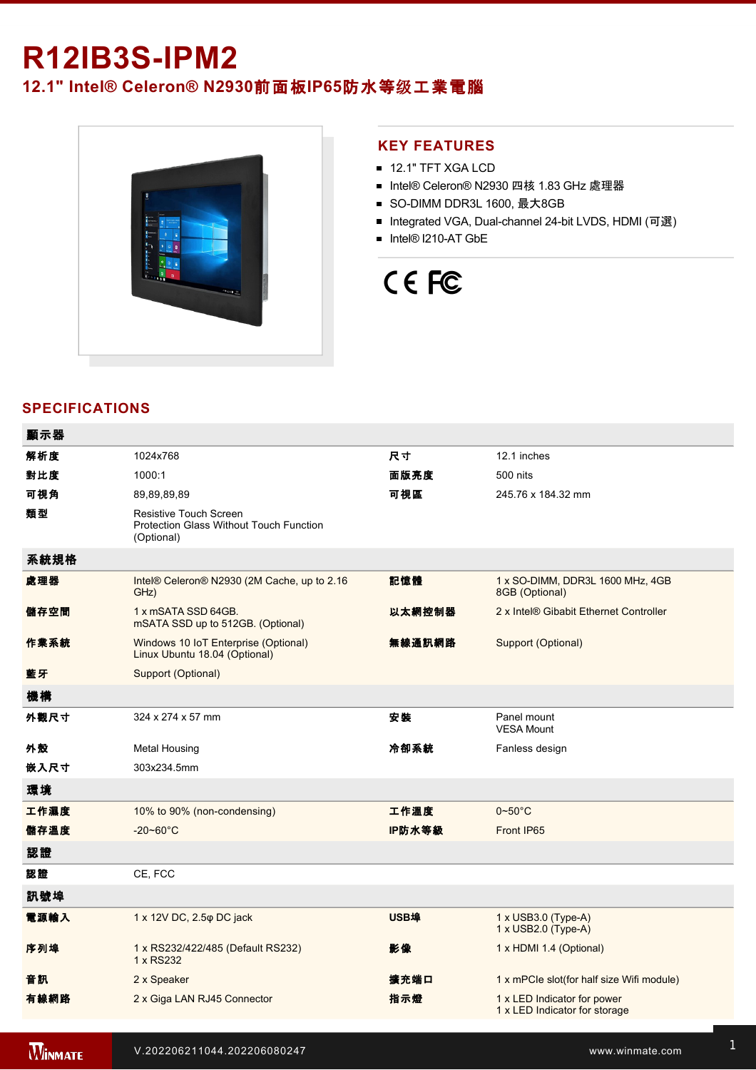## **R12IB3SIPM2**

**12.1" Intel® Celeron® N2930**前面板**IP65**防水等级工業電腦



### **KEY FEATURES**

- **12.1" TFT XGA LCD**
- Intel® Celeron® N2930 四核 1.83 GHz 處理器
- SO-DIMM DDR3L 1600, 最大8GB
- Integrated VGA, Dual-channel 24-bit LVDS, HDMI (可選)
- Intel® I210-AT GbE

# CE FC

## **SPECIFICATIONS**

| 顯示器  |                                                                                               |             |                                                              |
|------|-----------------------------------------------------------------------------------------------|-------------|--------------------------------------------------------------|
| 解析度  | 1024x768                                                                                      | 尺寸          | 12.1 inches                                                  |
| 對比度  | 1000:1                                                                                        | 面版亮度        | 500 nits                                                     |
| 可視角  | 89,89,89,89                                                                                   | 可視區         | 245.76 x 184.32 mm                                           |
| 類型   | <b>Resistive Touch Screen</b><br><b>Protection Glass Without Touch Function</b><br>(Optional) |             |                                                              |
| 系統規格 |                                                                                               |             |                                                              |
| 處理器  | Intel® Celeron® N2930 (2M Cache, up to 2.16<br>GHz)                                           | 記憶體         | 1 x SO-DIMM, DDR3L 1600 MHz, 4GB<br>8GB (Optional)           |
| 儲存空間 | 1 x mSATA SSD 64GB.<br>mSATA SSD up to 512GB. (Optional)                                      | 以太網控制器      | 2 x Intel® Gibabit Ethernet Controller                       |
| 作業系統 | Windows 10 IoT Enterprise (Optional)<br>Linux Ubuntu 18.04 (Optional)                         | 無線通訊網路      | Support (Optional)                                           |
| 藍牙   | Support (Optional)                                                                            |             |                                                              |
| 機構   |                                                                                               |             |                                                              |
| 外觀尺寸 | 324 x 274 x 57 mm                                                                             | 安装          | Panel mount<br><b>VESA Mount</b>                             |
| 外殼   | <b>Metal Housing</b>                                                                          | 冷卻系統        | Fanless design                                               |
| 嵌入尺寸 | 303x234.5mm                                                                                   |             |                                                              |
| 環境   |                                                                                               |             |                                                              |
| 工作濕度 | 10% to 90% (non-condensing)                                                                   | 工作溫度        | $0 - 50^{\circ}$ C                                           |
| 儲存溫度 | $-20 - 60^{\circ}C$                                                                           | IP防水等級      | Front IP65                                                   |
| 認證   |                                                                                               |             |                                                              |
| 認證   | CE, FCC                                                                                       |             |                                                              |
| 訊號埠  |                                                                                               |             |                                                              |
| 電源輸入 | 1 x 12V DC, 2.5 $\varphi$ DC jack                                                             | <b>USB埠</b> | 1 x USB3.0 (Type-A)<br>1 x USB2.0 (Type-A)                   |
| 序列埠  | 1 x RS232/422/485 (Default RS232)<br>1 x RS232                                                | 影像          | 1 x HDMI 1.4 (Optional)                                      |
| 音訊   | 2 x Speaker                                                                                   | 擴充端口        | 1 x mPCle slot(for half size Wifi module)                    |
| 有線網路 | 2 x Giga LAN RJ45 Connector                                                                   | 指示燈         | 1 x LED Indicator for power<br>1 x LED Indicator for storage |
|      |                                                                                               |             |                                                              |

**WINMATE**